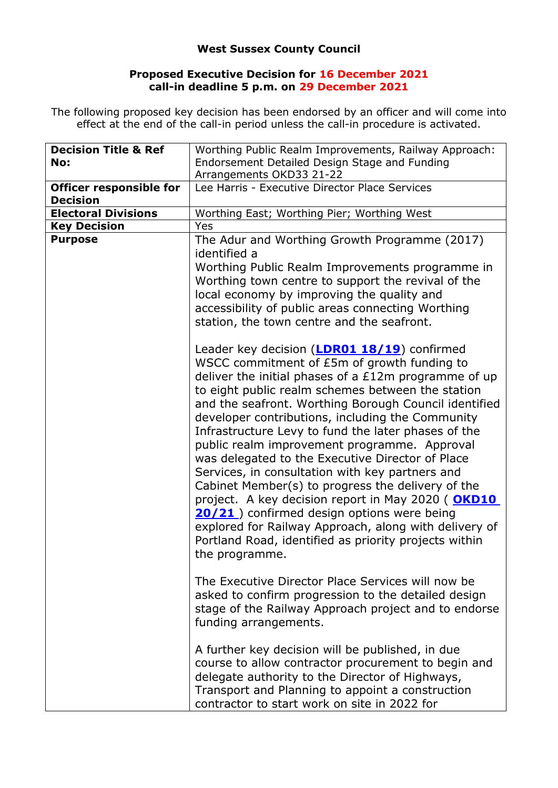## **West Sussex County Council**

## **Proposed Executive Decision for 16 December 2021 call-in deadline 5 p.m. on 29 December 2021**

The following proposed key decision has been endorsed by an officer and will come into effect at the end of the call-in period unless the call-in procedure is activated.

| <b>Decision Title &amp; Ref</b><br>No: | Worthing Public Realm Improvements, Railway Approach:<br>Endorsement Detailed Design Stage and Funding                                                                                                                                                                                                                                                                                                                                                                                                                                                                                                                                                                                                                                                                                                                                  |
|----------------------------------------|-----------------------------------------------------------------------------------------------------------------------------------------------------------------------------------------------------------------------------------------------------------------------------------------------------------------------------------------------------------------------------------------------------------------------------------------------------------------------------------------------------------------------------------------------------------------------------------------------------------------------------------------------------------------------------------------------------------------------------------------------------------------------------------------------------------------------------------------|
|                                        | Arrangements OKD33 21-22                                                                                                                                                                                                                                                                                                                                                                                                                                                                                                                                                                                                                                                                                                                                                                                                                |
| Officer responsible for                | Lee Harris - Executive Director Place Services                                                                                                                                                                                                                                                                                                                                                                                                                                                                                                                                                                                                                                                                                                                                                                                          |
| <b>Decision</b>                        |                                                                                                                                                                                                                                                                                                                                                                                                                                                                                                                                                                                                                                                                                                                                                                                                                                         |
| <b>Electoral Divisions</b>             | Worthing East; Worthing Pier; Worthing West                                                                                                                                                                                                                                                                                                                                                                                                                                                                                                                                                                                                                                                                                                                                                                                             |
| <b>Key Decision</b>                    | Yes                                                                                                                                                                                                                                                                                                                                                                                                                                                                                                                                                                                                                                                                                                                                                                                                                                     |
| <b>Purpose</b>                         | The Adur and Worthing Growth Programme (2017)<br>identified a                                                                                                                                                                                                                                                                                                                                                                                                                                                                                                                                                                                                                                                                                                                                                                           |
|                                        | Worthing Public Realm Improvements programme in<br>Worthing town centre to support the revival of the<br>local economy by improving the quality and<br>accessibility of public areas connecting Worthing<br>station, the town centre and the seafront.                                                                                                                                                                                                                                                                                                                                                                                                                                                                                                                                                                                  |
|                                        | Leader key decision ( <b>LDR01 18/19</b> ) confirmed<br>WSCC commitment of £5m of growth funding to<br>deliver the initial phases of a £12m programme of up<br>to eight public realm schemes between the station<br>and the seafront. Worthing Borough Council identified<br>developer contributions, including the Community<br>Infrastructure Levy to fund the later phases of the<br>public realm improvement programme. Approval<br>was delegated to the Executive Director of Place<br>Services, in consultation with key partners and<br>Cabinet Member(s) to progress the delivery of the<br>project. A key decision report in May 2020 (OKD10<br>20/21) confirmed design options were being<br>explored for Railway Approach, along with delivery of<br>Portland Road, identified as priority projects within<br>the programme. |
|                                        | The Executive Director Place Services will now be<br>asked to confirm progression to the detailed design<br>stage of the Railway Approach project and to endorse<br>funding arrangements.                                                                                                                                                                                                                                                                                                                                                                                                                                                                                                                                                                                                                                               |
|                                        | A further key decision will be published, in due<br>course to allow contractor procurement to begin and<br>delegate authority to the Director of Highways,<br>Transport and Planning to appoint a construction<br>contractor to start work on site in 2022 for                                                                                                                                                                                                                                                                                                                                                                                                                                                                                                                                                                          |